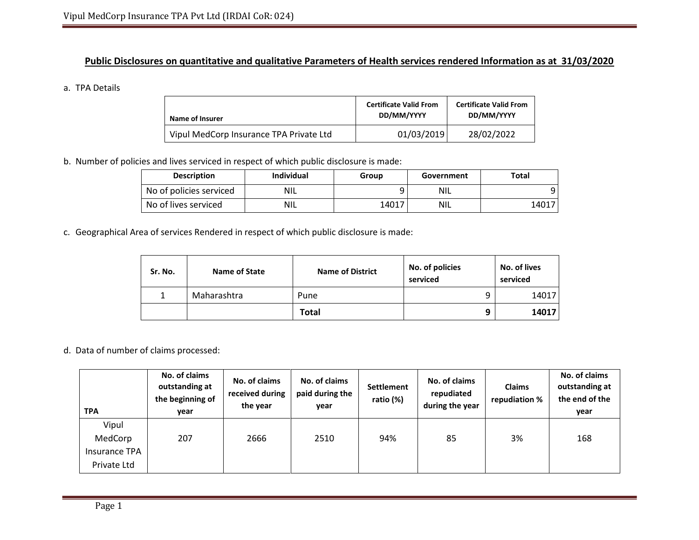## **Public Disclosures on quantitative and qualitative Parameters of Health services rendered Information as at 31/03/2020**

## a. TPA Details

| Name of Insurer                         | <b>Certificate Valid From</b><br>DD/MM/YYYY | <b>Certificate Valid From</b><br>DD/MM/YYYY |  |
|-----------------------------------------|---------------------------------------------|---------------------------------------------|--|
| Vipul MedCorp Insurance TPA Private Ltd | 01/03/2019                                  | 28/02/2022                                  |  |

b. Number of policies and lives serviced in respect of which public disclosure is made:

| <b>Description</b>      | <b>Individual</b> | Group | Government | Total |
|-------------------------|-------------------|-------|------------|-------|
| No of policies serviced | <b>NIL</b>        |       | NIL        |       |
| No of lives serviced    | nil               | 14017 | NIL        | 14017 |

c. Geographical Area of services Rendered in respect of which public disclosure is made:

| Sr. No. | Name of State | <b>Name of District</b> | No. of policies<br>serviced | No. of lives<br>serviced |
|---------|---------------|-------------------------|-----------------------------|--------------------------|
| ᅩ       | Maharashtra   | Pune                    | 9                           | 14017                    |
|         |               | Total                   | 9                           | 14017                    |

d. Data of number of claims processed:

| <b>TPA</b>                                       | No. of claims<br>outstanding at<br>the beginning of<br>year | No. of claims<br>received during<br>the year | No. of claims<br>paid during the<br>year | <b>Settlement</b><br>ratio (%) | No. of claims<br>repudiated<br>during the year | <b>Claims</b><br>repudiation % | No. of claims<br>outstanding at<br>the end of the<br>year |
|--------------------------------------------------|-------------------------------------------------------------|----------------------------------------------|------------------------------------------|--------------------------------|------------------------------------------------|--------------------------------|-----------------------------------------------------------|
| Vipul<br>MedCorp<br>Insurance TPA<br>Private Ltd | 207                                                         | 2666                                         | 2510                                     | 94%                            | 85                                             | 3%                             | 168                                                       |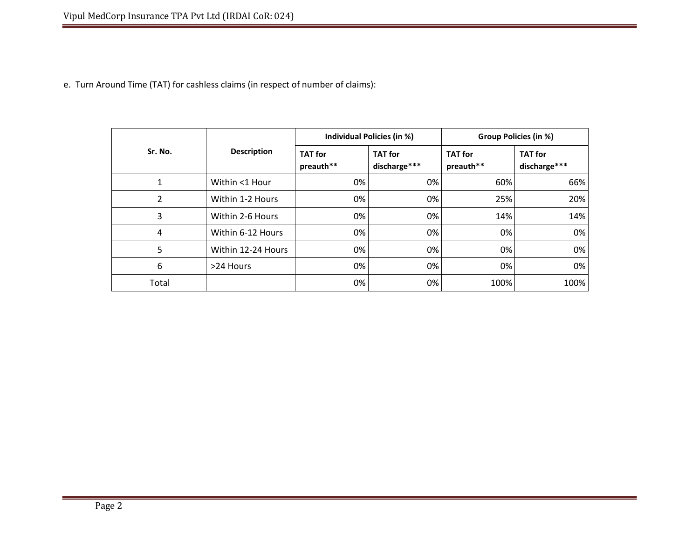e. Turn Around Time (TAT) for cashless claims (in respect of number of claims):

|                |                    |                             | Individual Policies (in %)     | Group Policies (in %)       |                                |  |
|----------------|--------------------|-----------------------------|--------------------------------|-----------------------------|--------------------------------|--|
| Sr. No.        | <b>Description</b> | <b>TAT</b> for<br>preauth** | <b>TAT for</b><br>discharge*** | <b>TAT for</b><br>preauth** | <b>TAT</b> for<br>discharge*** |  |
| 1              | Within <1 Hour     | 0%                          | 0%                             | 60%                         | 66%                            |  |
| $\overline{2}$ | Within 1-2 Hours   | 0%                          | 0%                             | 25%                         | 20%                            |  |
| 3              | Within 2-6 Hours   | 0%                          | 0%                             | 14%                         | 14%                            |  |
| 4              | Within 6-12 Hours  | 0%                          | 0%                             | 0%                          | 0%                             |  |
| 5              | Within 12-24 Hours | 0%                          | 0%                             | 0%                          | 0%                             |  |
| 6              | >24 Hours          | 0%                          | 0%                             | 0%                          | 0%                             |  |
| Total          |                    | 0%                          | 0%                             | 100%                        | 100%                           |  |